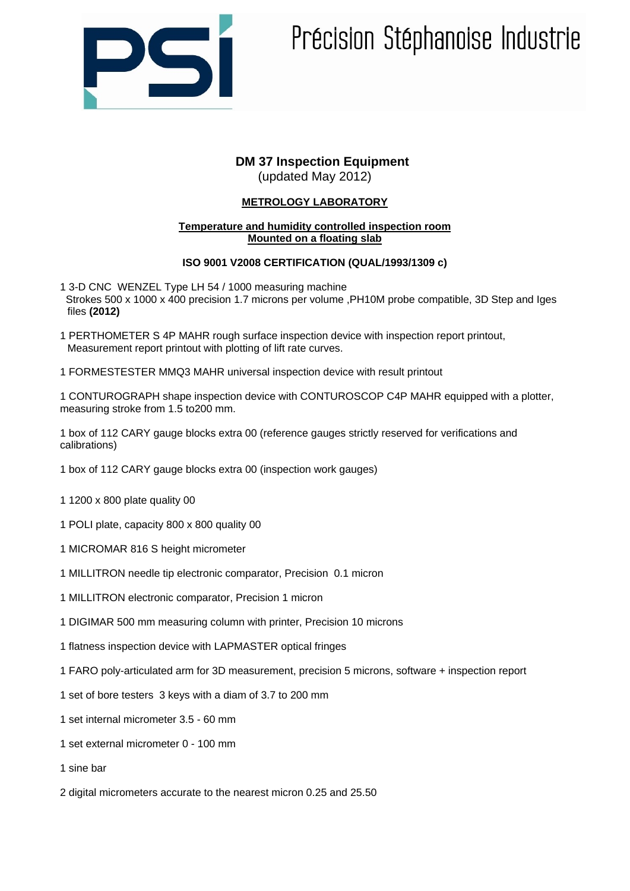

# Précision Stéphanoise Industrie

## **DM 37 Inspection Equipment** (updated May 2012)

## **METROLOGY LABORATORY**

#### **Temperature and humidity controlled inspection room Mounted on a floating slab**

## **ISO 9001 V2008 CERTIFICATION (QUAL/1993/1309 c)**

- 1 3-D CNC WENZEL Type LH 54 / 1000 measuring machine Strokes 500 x 1000 x 400 precision 1.7 microns per volume ,PH10M probe compatible, 3D Step and Iges files **(2012)**
- 1 PERTHOMETER S 4P MAHR rough surface inspection device with inspection report printout, Measurement report printout with plotting of lift rate curves.
- 1 FORMESTESTER MMQ3 MAHR universal inspection device with result printout

1 CONTUROGRAPH shape inspection device with CONTUROSCOP C4P MAHR equipped with a plotter, measuring stroke from 1.5 to200 mm.

1 box of 112 CARY gauge blocks extra 00 (reference gauges strictly reserved for verifications and calibrations)

- 1 box of 112 CARY gauge blocks extra 00 (inspection work gauges)
- 1 1200 x 800 plate quality 00
- 1 POLI plate, capacity 800 x 800 quality 00
- 1 MICROMAR 816 S height micrometer
- 1 MILLITRON needle tip electronic comparator, Precision 0.1 micron
- 1 MILLITRON electronic comparator, Precision 1 micron
- 1 DIGIMAR 500 mm measuring column with printer, Precision 10 microns
- 1 flatness inspection device with LAPMASTER optical fringes
- 1 FARO poly-articulated arm for 3D measurement, precision 5 microns, software + inspection report
- 1 set of bore testers 3 keys with a diam of 3.7 to 200 mm
- 1 set internal micrometer 3.5 60 mm
- 1 set external micrometer 0 100 mm
- 1 sine bar
- 2 digital micrometers accurate to the nearest micron 0.25 and 25.50